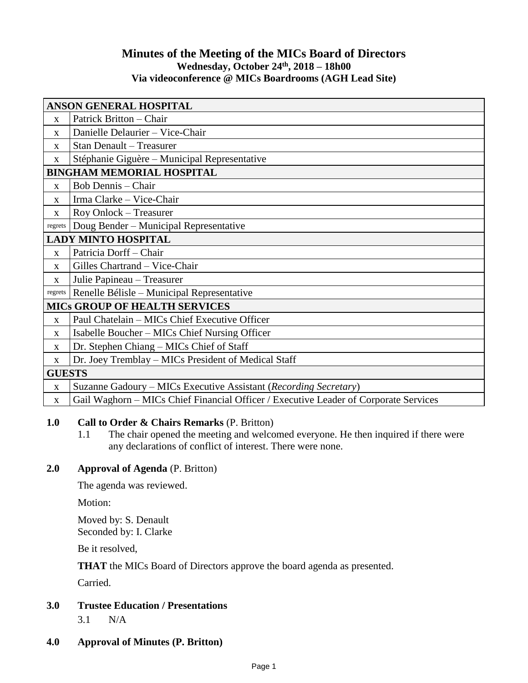# **Minutes of the Meeting of the MICs Board of Directors Wednesday, October 24th , 2018 – 18h00 Via videoconference @ MICs Boardrooms (AGH Lead Site)**

| ANSON GENERAL HOSPITAL               |                                                                                      |
|--------------------------------------|--------------------------------------------------------------------------------------|
| $\mathbf{X}$                         | Patrick Britton - Chair                                                              |
| $\mathbf{X}$                         | Danielle Delaurier - Vice-Chair                                                      |
| X                                    | Stan Denault - Treasurer                                                             |
| X                                    | Stéphanie Giguère - Municipal Representative                                         |
| <b>BINGHAM MEMORIAL HOSPITAL</b>     |                                                                                      |
| X                                    | Bob Dennis – Chair                                                                   |
| $\mathbf X$                          | Irma Clarke - Vice-Chair                                                             |
| $\mathbf X$                          | Roy Onlock - Treasurer                                                               |
| regrets                              | Doug Bender - Municipal Representative                                               |
| <b>LADY MINTO HOSPITAL</b>           |                                                                                      |
| $\mathbf{x}$                         | Patricia Dorff - Chair                                                               |
| $\mathbf{X}$                         | Gilles Chartrand - Vice-Chair                                                        |
| X                                    | Julie Papineau - Treasurer                                                           |
| regrets                              | Renelle Bélisle – Municipal Representative                                           |
| <b>MICS GROUP OF HEALTH SERVICES</b> |                                                                                      |
| X                                    | Paul Chatelain - MICs Chief Executive Officer                                        |
| $\mathbf X$                          | Isabelle Boucher – MICs Chief Nursing Officer                                        |
| $\mathbf X$                          | Dr. Stephen Chiang - MICs Chief of Staff                                             |
| $\mathbf X$                          | Dr. Joey Tremblay – MICs President of Medical Staff                                  |
| <b>GUESTS</b>                        |                                                                                      |
| $\mathbf X$                          | Suzanne Gadoury - MICs Executive Assistant (Recording Secretary)                     |
| $\mathbf X$                          | Gail Waghorn – MICs Chief Financial Officer / Executive Leader of Corporate Services |

# **1.0 Call to Order & Chairs Remarks** (P. Britton)

1.1 The chair opened the meeting and welcomed everyone. He then inquired if there were any declarations of conflict of interest. There were none.

# **2.0 Approval of Agenda** (P. Britton)

The agenda was reviewed.

Motion:

Moved by: S. Denault Seconded by: I. Clarke

Be it resolved,

**THAT** the MICs Board of Directors approve the board agenda as presented.

Carried.

# **3.0 Trustee Education / Presentations**

3.1 N/A

# **4.0 Approval of Minutes (P. Britton)**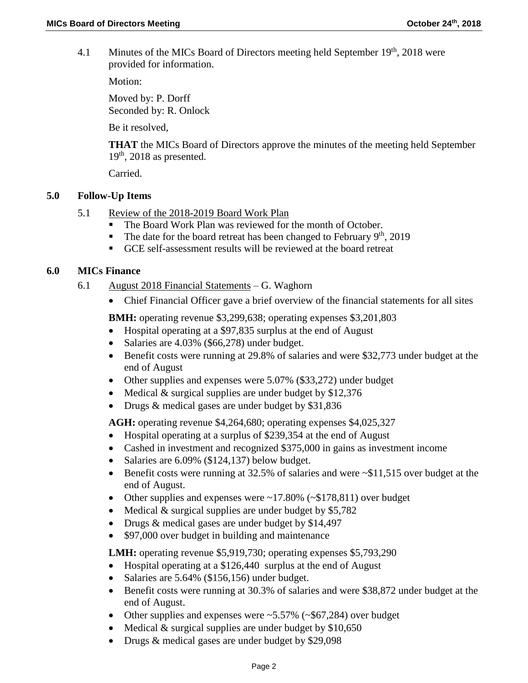4.1 Minutes of the MICs Board of Directors meeting held September 19<sup>th</sup>, 2018 were provided for information.

Motion:

Moved by: P. Dorff Seconded by: R. Onlock

Be it resolved,

**THAT** the MICs Board of Directors approve the minutes of the meeting held September  $19<sup>th</sup>$ , 2018 as presented.

Carried.

## **5.0 Follow-Up Items**

- 5.1 Review of the 2018-2019 Board Work Plan
	- The Board Work Plan was reviewed for the month of October.
	- The date for the board retreat has been changed to February  $9<sup>th</sup>$ , 2019
	- GCE self-assessment results will be reviewed at the board retreat

## **6.0 MICs Finance**

- 6.1 August 2018 Financial Statements G. Waghorn
	- Chief Financial Officer gave a brief overview of the financial statements for all sites

**BMH:** operating revenue \$3,299,638; operating expenses \$3,201,803

- Hospital operating at a \$97,835 surplus at the end of August
- Salaries are 4.03% (\$66,278) under budget.
- Benefit costs were running at 29.8% of salaries and were \$32,773 under budget at the end of August
- Other supplies and expenses were 5.07% (\$33,272) under budget
- Medical  $&$  surgical supplies are under budget by \$12,376
- Drugs & medical gases are under budget by \$31,836

**AGH:** operating revenue \$4,264,680; operating expenses \$4,025,327

- Hospital operating at a surplus of \$239,354 at the end of August
- Cashed in investment and recognized \$375,000 in gains as investment income
- Salaries are  $6.09\%$  (\$124,137) below budget.
- Benefit costs were running at 32.5% of salaries and were ~\$11,515 over budget at the end of August.
- Other supplies and expenses were  $\sim$ 17.80% ( $\sim$ \$178,811) over budget
- Medical  $&$  surgical supplies are under budget by \$5,782
- Drugs & medical gases are under budget by \$14,497
- \$97,000 over budget in building and maintenance

**LMH:** operating revenue \$5,919,730; operating expenses \$5,793,290

- Hospital operating at a \$126,440 surplus at the end of August
- $\bullet$  Salaries are 5.64% (\$156,156) under budget.
- Benefit costs were running at 30.3% of salaries and were \$38,872 under budget at the end of August.
- Other supplies and expenses were  $\sim 5.57\%$  ( $\sim$ \$67,284) over budget
- Medical  $&$  surgical supplies are under budget by \$10,650
- Drugs & medical gases are under budget by \$29,098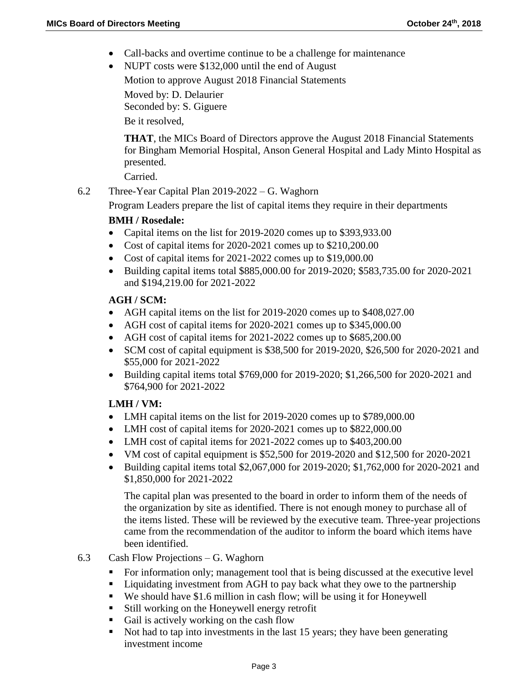- Call-backs and overtime continue to be a challenge for maintenance
- NUPT costs were \$132,000 until the end of August

Motion to approve August 2018 Financial Statements

Moved by: D. Delaurier Seconded by: S. Giguere

Be it resolved,

**THAT**, the MICs Board of Directors approve the August 2018 Financial Statements for Bingham Memorial Hospital, Anson General Hospital and Lady Minto Hospital as presented.

Carried.

6.2 Three-Year Capital Plan 2019-2022 – G. Waghorn

Program Leaders prepare the list of capital items they require in their departments

## **BMH / Rosedale:**

- Capital items on the list for 2019-2020 comes up to \$393,933.00
- Cost of capital items for 2020-2021 comes up to \$210,200.00
- Cost of capital items for 2021-2022 comes up to \$19,000.00
- Building capital items total \$885,000.00 for 2019-2020; \$583,735.00 for 2020-2021 and \$194,219.00 for 2021-2022

## **AGH / SCM:**

- AGH capital items on the list for 2019-2020 comes up to \$408,027.00
- AGH cost of capital items for 2020-2021 comes up to \$345,000.00
- AGH cost of capital items for 2021-2022 comes up to \$685,200.00
- SCM cost of capital equipment is \$38,500 for 2019-2020, \$26,500 for 2020-2021 and \$55,000 for 2021-2022
- **Building capital items total \$769,000 for 2019-2020; \$1,266,500 for 2020-2021 and** \$764,900 for 2021-2022

# **LMH / VM:**

- LMH capital items on the list for 2019-2020 comes up to \$789,000.00
- LMH cost of capital items for 2020-2021 comes up to \$822,000.00
- LMH cost of capital items for 2021-2022 comes up to \$403,200.00
- VM cost of capital equipment is  $$52,500$  for 2019-2020 and  $$12,500$  for 2020-2021
- Building capital items total \$2,067,000 for 2019-2020; \$1,762,000 for 2020-2021 and \$1,850,000 for 2021-2022

The capital plan was presented to the board in order to inform them of the needs of the organization by site as identified. There is not enough money to purchase all of the items listed. These will be reviewed by the executive team. Three-year projections came from the recommendation of the auditor to inform the board which items have been identified.

- 6.3 Cash Flow Projections G. Waghorn
	- For information only; management tool that is being discussed at the executive level
	- Liquidating investment from AGH to pay back what they owe to the partnership
	- We should have \$1.6 million in cash flow; will be using it for Honeywell
	- Still working on the Honeywell energy retrofit
	- Gail is actively working on the cash flow
	- Not had to tap into investments in the last 15 years; they have been generating investment income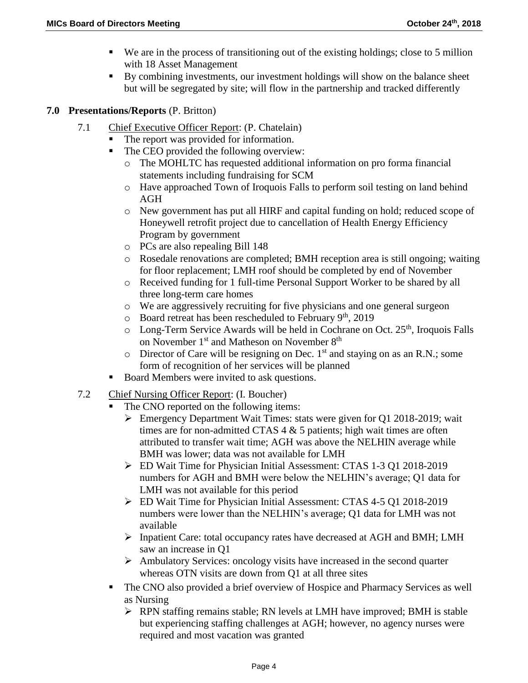- $\blacksquare$  We are in the process of transitioning out of the existing holdings; close to 5 million with 18 Asset Management
- By combining investments, our investment holdings will show on the balance sheet but will be segregated by site; will flow in the partnership and tracked differently

## **7.0 Presentations/Reports** (P. Britton)

- 7.1 Chief Executive Officer Report: (P. Chatelain)
	- The report was provided for information.
	- The CEO provided the following overview:
		- o The MOHLTC has requested additional information on pro forma financial statements including fundraising for SCM
		- o Have approached Town of Iroquois Falls to perform soil testing on land behind AGH
		- o New government has put all HIRF and capital funding on hold; reduced scope of Honeywell retrofit project due to cancellation of Health Energy Efficiency Program by government
		- o PCs are also repealing Bill 148
		- o Rosedale renovations are completed; BMH reception area is still ongoing; waiting for floor replacement; LMH roof should be completed by end of November
		- o Received funding for 1 full-time Personal Support Worker to be shared by all three long-term care homes
		- $\circ$  We are aggressively recruiting for five physicians and one general surgeon
		- $\circ$  Board retreat has been rescheduled to February 9<sup>th</sup>, 2019
		- $\circ$  Long-Term Service Awards will be held in Cochrane on Oct. 25<sup>th</sup>, Iroquois Falls on November 1<sup>st</sup> and Matheson on November 8<sup>th</sup>
		- $\circ$  Director of Care will be resigning on Dec. 1<sup>st</sup> and staying on as an R.N.; some form of recognition of her services will be planned
	- Board Members were invited to ask questions.
- 7.2 Chief Nursing Officer Report: (I. Boucher)
	- The CNO reported on the following items:
		- Emergency Department Wait Times: stats were given for Q1 2018-2019; wait times are for non-admitted CTAS 4 & 5 patients; high wait times are often attributed to transfer wait time; AGH was above the NELHIN average while BMH was lower; data was not available for LMH
		- ED Wait Time for Physician Initial Assessment: CTAS 1-3 Q1 2018-2019 numbers for AGH and BMH were below the NELHIN's average; Q1 data for LMH was not available for this period
		- ED Wait Time for Physician Initial Assessment: CTAS 4-5 Q1 2018-2019 numbers were lower than the NELHIN's average; Q1 data for LMH was not available
		- $\triangleright$  Inpatient Care: total occupancy rates have decreased at AGH and BMH; LMH saw an increase in Q1
		- $\triangleright$  Ambulatory Services: oncology visits have increased in the second quarter whereas OTN visits are down from Q1 at all three sites
	- The CNO also provided a brief overview of Hospice and Pharmacy Services as well as Nursing
		- RPN staffing remains stable; RN levels at LMH have improved; BMH is stable but experiencing staffing challenges at AGH; however, no agency nurses were required and most vacation was granted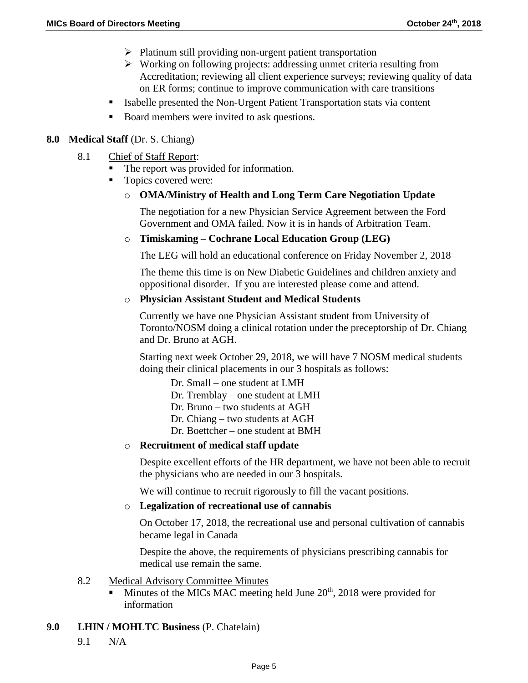- $\triangleright$  Platinum still providing non-urgent patient transportation
- $\triangleright$  Working on following projects: addressing unmet criteria resulting from Accreditation; reviewing all client experience surveys; reviewing quality of data on ER forms; continue to improve communication with care transitions
- Isabelle presented the Non-Urgent Patient Transportation stats via content
- Board members were invited to ask questions.

## **8.0 Medical Staff** (Dr. S. Chiang)

- 8.1 Chief of Staff Report:
	- The report was provided for information.
	- Topics covered were:

## o **OMA/Ministry of Health and Long Term Care Negotiation Update**

The negotiation for a new Physician Service Agreement between the Ford Government and OMA failed. Now it is in hands of Arbitration Team.

#### o **Timiskaming – Cochrane Local Education Group (LEG)**

The LEG will hold an educational conference on Friday November 2, 2018

The theme this time is on New Diabetic Guidelines and children anxiety and oppositional disorder. If you are interested please come and attend.

#### o **Physician Assistant Student and Medical Students**

Currently we have one Physician Assistant student from University of Toronto/NOSM doing a clinical rotation under the preceptorship of Dr. Chiang and Dr. Bruno at AGH.

Starting next week October 29, 2018, we will have 7 NOSM medical students doing their clinical placements in our 3 hospitals as follows:

- Dr. Small one student at LMH
- Dr. Tremblay one student at LMH
- Dr. Bruno two students at AGH
- Dr. Chiang two students at AGH
- Dr. Boettcher one student at BMH

#### o **Recruitment of medical staff update**

Despite excellent efforts of the HR department, we have not been able to recruit the physicians who are needed in our 3 hospitals.

We will continue to recruit rigorously to fill the vacant positions.

#### o **Legalization of recreational use of cannabis**

On October 17, 2018, the recreational use and personal cultivation of cannabis became legal in Canada

Despite the above, the requirements of physicians prescribing cannabis for medical use remain the same.

#### 8.2 Medical Advisory Committee Minutes

 $\blacksquare$  Minutes of the MICs MAC meeting held June 20<sup>th</sup>, 2018 were provided for information

#### **9.0 LHIN / MOHLTC Business** (P. Chatelain)

9.1 N/A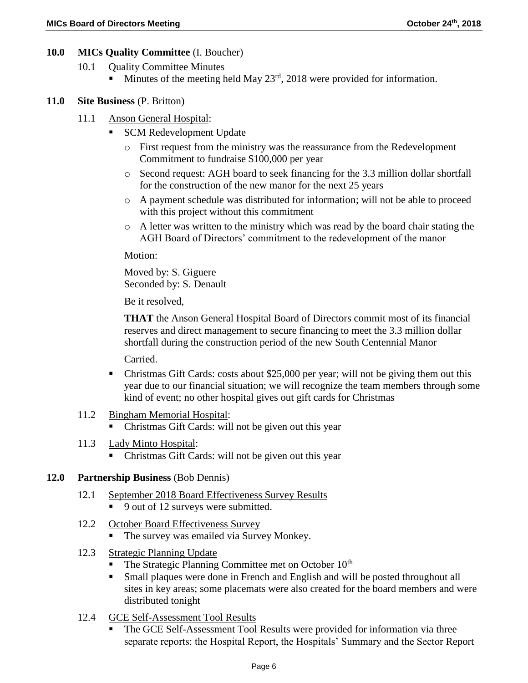## **10.0 MICs Quality Committee** (I. Boucher)

- 10.1 **Quality Committee Minutes** 
	- Minutes of the meeting held May  $23<sup>rd</sup>$ , 2018 were provided for information.

# **11.0 Site Business** (P. Britton)

- 11.1 Anson General Hospital:
	- **SCM Redevelopment Update** 
		- o First request from the ministry was the reassurance from the Redevelopment Commitment to fundraise \$100,000 per year
		- o Second request: AGH board to seek financing for the 3.3 million dollar shortfall for the construction of the new manor for the next 25 years
		- o A payment schedule was distributed for information; will not be able to proceed with this project without this commitment
		- o A letter was written to the ministry which was read by the board chair stating the AGH Board of Directors' commitment to the redevelopment of the manor

Motion:

Moved by: S. Giguere Seconded by: S. Denault

Be it resolved,

**THAT** the Anson General Hospital Board of Directors commit most of its financial reserves and direct management to secure financing to meet the 3.3 million dollar shortfall during the construction period of the new South Centennial Manor

Carried.

- Christmas Gift Cards: costs about \$25,000 per year; will not be giving them out this year due to our financial situation; we will recognize the team members through some kind of event; no other hospital gives out gift cards for Christmas
- 11.2 Bingham Memorial Hospital:
	- Christmas Gift Cards: will not be given out this year
- 11.3 Lady Minto Hospital:
	- Christmas Gift Cards: will not be given out this year

#### **12.0 Partnership Business** (Bob Dennis)

- 12.1 September 2018 Board Effectiveness Survey Results
	- 9 out of 12 surveys were submitted.
- 12.2 October Board Effectiveness Survey
	- The survey was emailed via Survey Monkey.
- 12.3 Strategic Planning Update
	- The Strategic Planning Committee met on October 10<sup>th</sup>
	- Small plaques were done in French and English and will be posted throughout all sites in key areas; some placemats were also created for the board members and were distributed tonight
- 12.4 GCE Self-Assessment Tool Results
	- The GCE Self-Assessment Tool Results were provided for information via three separate reports: the Hospital Report, the Hospitals' Summary and the Sector Report